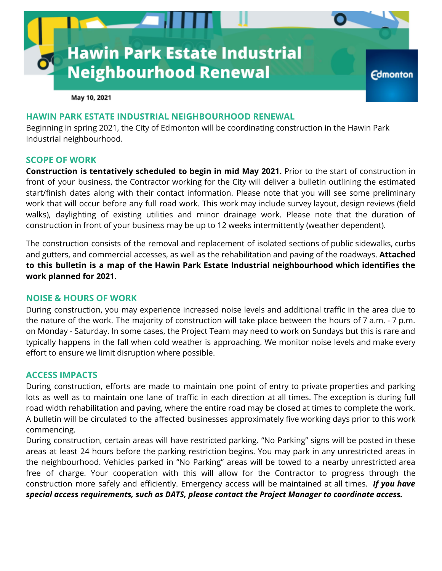

May 10, 2021

### **HAWIN PARK ESTATE INDUSTRIAL NEIGHBOURHOOD RENEWAL**

Beginning in spring 2021, the City of Edmonton will be coordinating construction in the Hawin Park Industrial neighbourhood.

### **SCOPE OF WORK**

**Construction is tentatively scheduled to begin in mid May 2021.** Prior to the start of construction in front of your business, the Contractor working for the City will deliver a bulletin outlining the estimated start/finish dates along with their contact information. Please note that you will see some preliminary work that will occur before any full road work. This work may include survey layout, design reviews (field walks), daylighting of existing utilities and minor drainage work. Please note that the duration of construction in front of your business may be up to 12 weeks intermittently (weather dependent).

The construction consists of the removal and replacement of isolated sections of public sidewalks, curbs and gutters, and commercial accesses, as well as the rehabilitation and paving of the roadways. **Attached to this bulletin is a map of the Hawin Park Estate Industrial neighbourhood which identifies the work planned for 2021.**

### **NOISE & HOURS OF WORK**

During construction, you may experience increased noise levels and additional traffic in the area due to the nature of the work. The majority of construction will take place between the hours of 7 a.m. - 7 p.m. on Monday - Saturday. In some cases, the Project Team may need to work on Sundays but this is rare and typically happens in the fall when cold weather is approaching. We monitor noise levels and make every effort to ensure we limit disruption where possible.

### **ACCESS IMPACTS**

During construction, efforts are made to maintain one point of entry to private properties and parking lots as well as to maintain one lane of traffic in each direction at all times. The exception is during full road width rehabilitation and paving, where the entire road may be closed at times to complete the work. A bulletin will be circulated to the affected businesses approximately five working days prior to this work commencing.

During construction, certain areas will have restricted parking. "No Parking" signs will be posted in these areas at least 24 hours before the parking restriction begins. You may park in any unrestricted areas in the neighbourhood. Vehicles parked in "No Parking" areas will be towed to a nearby unrestricted area free of charge. Your cooperation with this will allow for the Contractor to progress through the construction more safely and efficiently. Emergency access will be maintained at all times. *If you have special access requirements, such as DATS, please contact the Project Manager to coordinate access.*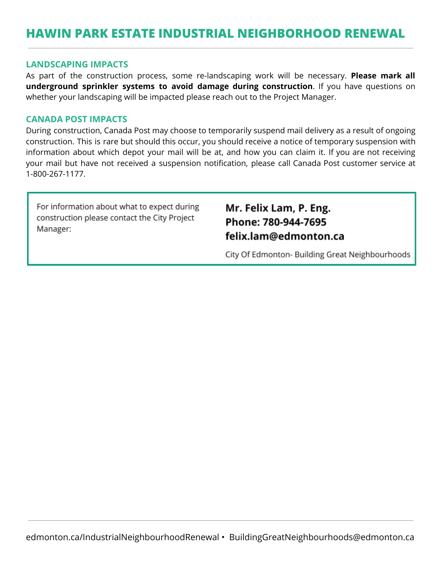# **HAWIN PARK ESTATE INDUSTRIAL NEIGHBORHOOD RENEWAL**

#### **LANDSCAPING IMPACTS**

As part of the construction process, some re-landscaping work will be necessary. **Please mark all underground sprinkler systems to avoid damage during construction**. If you have questions on whether your landscaping will be impacted please reach out to the Project Manager.

#### **CANADA POST IMPACTS**

During construction, Canada Post may choose to temporarily suspend mail delivery as a result of ongoing construction. This is rare but should this occur, you should receive a notice of temporary suspension with information about which depot your mail will be at, and how you can claim it. If you are not receiving your mail but have not received a suspension notification, please call Canada Post customer service at 1-800-267-1177.

For information about what to expect during construction please contact the City Project Manager:

### Mr. Felix Lam, P. Eng. Phone: 780-944-7695 felix.lam@edmonton.ca

City Of Edmonton- Building Great Neighbourhoods